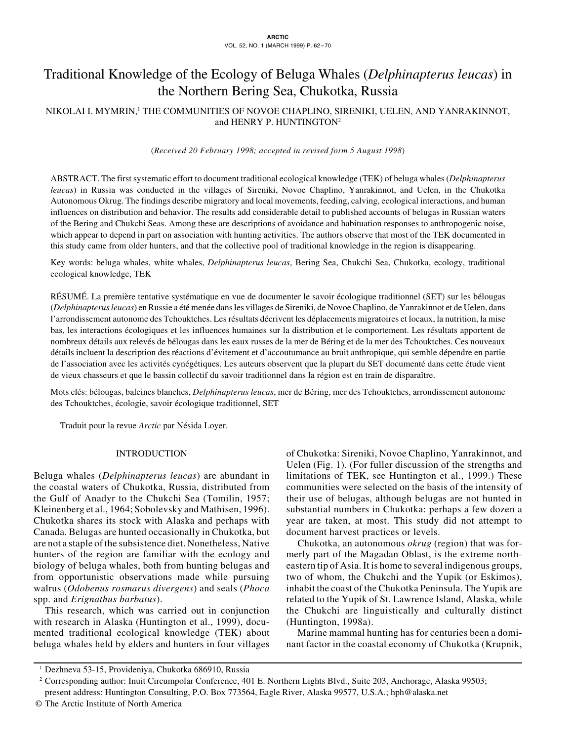# Traditional Knowledge of the Ecology of Beluga Whales (*Delphinapterus leucas*) in the Northern Bering Sea, Chukotka, Russia

# NIKOLAI I. MYMRIN,' THE COMMUNITIES OF NOVOE CHAPLINO, SIRENIKI, UELEN, AND YANRAKINNOT, and HENRY P. HUNTINGTON<sup>2</sup>

(*Received 20 February 1998; accepted in revised form 5 August 1998*)

ABSTRACT. The first systematic effort to document traditional ecological knowledge (TEK) of beluga whales (*Delphinapterus leucas*) in Russia was conducted in the villages of Sireniki, Novoe Chaplino, Yanrakinnot, and Uelen, in the Chukotka Autonomous Okrug. The findings describe migratory and local movements, feeding, calving, ecological interactions, and human influences on distribution and behavior. The results add considerable detail to published accounts of belugas in Russian waters of the Bering and Chukchi Seas. Among these are descriptions of avoidance and habituation responses to anthropogenic noise, which appear to depend in part on association with hunting activities. The authors observe that most of the TEK documented in this study came from older hunters, and that the collective pool of traditional knowledge in the region is disappearing.

Key words: beluga whales, white whales, *Delphinapterus leucas*, Bering Sea, Chukchi Sea, Chukotka, ecology, traditional ecological knowledge, TEK

RÉSUMÉ. La première tentative systématique en vue de documenter le savoir écologique traditionnel (SET) sur les bélougas (*Delphinapterus leucas*) en Russie a été menée dans les villages de Sireniki, de Novoe Chaplino, de Yanrakinnot et de Uelen, dans l'arrondissement autonome des Tchouktches. Les résultats décrivent les déplacements migratoires et locaux, la nutrition, la mise bas, les interactions écologiques et les influences humaines sur la distribution et le comportement. Les résultats apportent de nombreux détails aux relevés de bélougas dans les eaux russes de la mer de Béring et de la mer des Tchouktches. Ces nouveaux détails incluent la description des réactions d'évitement et d'accoutumance au bruit anthropique, qui semble dépendre en partie de l'association avec les activités cynégétiques. Les auteurs observent que la plupart du SET documenté dans cette étude vient de vieux chasseurs et que le bassin collectif du savoir traditionnel dans la région est en train de disparaître.

Mots clés: bélougas, baleines blanches, *Delphinapterus leucas*, mer de Béring, mer des Tchouktches, arrondissement autonome des Tchouktches, écologie, savoir écologique traditionnel, SET

Traduit pour la revue *Arctic* par Nésida Loyer.

# INTRODUCTION

Beluga whales (*Delphinapterus leucas*) are abundant in the coastal waters of Chukotka, Russia, distributed from the Gulf of Anadyr to the Chukchi Sea (Tomilin, 1957; Kleinenberg et al., 1964; Sobolevsky and Mathisen, 1996). Chukotka shares its stock with Alaska and perhaps with Canada. Belugas are hunted occasionally in Chukotka, but are not a staple of the subsistence diet. Nonetheless, Native hunters of the region are familiar with the ecology and biology of beluga whales, both from hunting belugas and from opportunistic observations made while pursuing walrus (*Odobenus rosmarus divergens*) and seals (*Phoca* spp. and *Erignathus barbatus*).

This research, which was carried out in conjunction with research in Alaska (Huntington et al., 1999), documented traditional ecological knowledge (TEK) about beluga whales held by elders and hunters in four villages of Chukotka: Sireniki, Novoe Chaplino, Yanrakinnot, and Uelen (Fig. 1). (For fuller discussion of the strengths and limitations of TEK, see Huntington et al., 1999.) These communities were selected on the basis of the intensity of their use of belugas, although belugas are not hunted in substantial numbers in Chukotka: perhaps a few dozen a year are taken, at most. This study did not attempt to document harvest practices or levels.

Chukotka, an autonomous *okrug* (region) that was formerly part of the Magadan Oblast, is the extreme northeastern tip of Asia. It is home to several indigenous groups, two of whom, the Chukchi and the Yupik (or Eskimos), inhabit the coast of the Chukotka Peninsula. The Yupik are related to the Yupik of St. Lawrence Island, Alaska, while the Chukchi are linguistically and culturally distinct (Huntington, 1998a).

Marine mammal hunting has for centuries been a dominant factor in the coastal economy of Chukotka (Krupnik,

<sup>1</sup> Dezhneva 53-15, Provideniya, Chukotka 686910, Russia

<sup>2</sup> Corresponding author: Inuit Circumpolar Conference, 401 E. Northern Lights Blvd., Suite 203, Anchorage, Alaska 99503; present address: Huntington Consulting, P.O. Box 773564, Eagle River, Alaska 99577, U.S.A.; hph@alaska.net

<sup>©</sup> The Arctic Institute of North America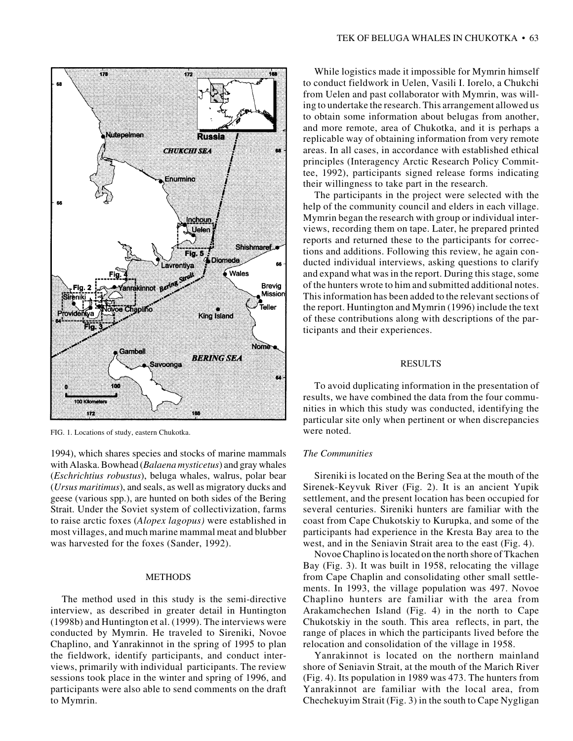

FIG. 1. Locations of study, eastern Chukotka.

1994), which shares species and stocks of marine mammals with Alaska. Bowhead (*Balaena mysticetus*) and gray whales (*Eschrichtius robustus*), beluga whales, walrus, polar bear (*Ursus maritimus*), and seals, as well as migratory ducks and geese (various spp.), are hunted on both sides of the Bering Strait. Under the Soviet system of collectivization, farms to raise arctic foxes (*Alopex lagopus)* were established in most villages, and much marine mammal meat and blubber was harvested for the foxes (Sander, 1992).

#### METHODS

The method used in this study is the semi-directive interview, as described in greater detail in Huntington (1998b) and Huntington et al. (1999). The interviews were conducted by Mymrin. He traveled to Sireniki, Novoe Chaplino, and Yanrakinnot in the spring of 1995 to plan the fieldwork, identify participants, and conduct interviews, primarily with individual participants. The review sessions took place in the winter and spring of 1996, and participants were also able to send comments on the draft to Mymrin.

While logistics made it impossible for Mymrin himself to conduct fieldwork in Uelen, Vasili I. Iorelo, a Chukchi from Uelen and past collaborator with Mymrin, was willing to undertake the research. This arrangement allowed us to obtain some information about belugas from another, and more remote, area of Chukotka, and it is perhaps a replicable way of obtaining information from very remote areas. In all cases, in accordance with established ethical principles (Interagency Arctic Research Policy Committee, 1992), participants signed release forms indicating their willingness to take part in the research.

The participants in the project were selected with the help of the community council and elders in each village. Mymrin began the research with group or individual interviews, recording them on tape. Later, he prepared printed reports and returned these to the participants for corrections and additions. Following this review, he again conducted individual interviews, asking questions to clarify and expand what was in the report. During this stage, some of the hunters wrote to him and submitted additional notes. This information has been added to the relevant sections of the report. Huntington and Mymrin (1996) include the text of these contributions along with descriptions of the participants and their experiences.

#### RESULTS

To avoid duplicating information in the presentation of results, we have combined the data from the four communities in which this study was conducted, identifying the particular site only when pertinent or when discrepancies were noted.

# *The Communities*

Sireniki is located on the Bering Sea at the mouth of the Sirenek-Keyvuk River (Fig. 2). It is an ancient Yupik settlement, and the present location has been occupied for several centuries. Sireniki hunters are familiar with the coast from Cape Chukotskiy to Kurupka, and some of the participants had experience in the Kresta Bay area to the west, and in the Seniavin Strait area to the east (Fig. 4).

Novoe Chaplino is located on the north shore of Tkachen Bay (Fig. 3). It was built in 1958, relocating the village from Cape Chaplin and consolidating other small settlements. In 1993, the village population was 497. Novoe Chaplino hunters are familiar with the area from Arakamchechen Island (Fig. 4) in the north to Cape Chukotskiy in the south. This area reflects, in part, the range of places in which the participants lived before the relocation and consolidation of the village in 1958.

Yanrakinnot is located on the northern mainland shore of Seniavin Strait, at the mouth of the Marich River (Fig. 4). Its population in 1989 was 473. The hunters from Yanrakinnot are familiar with the local area, from Chechekuyim Strait (Fig. 3) in the south to Cape Nygligan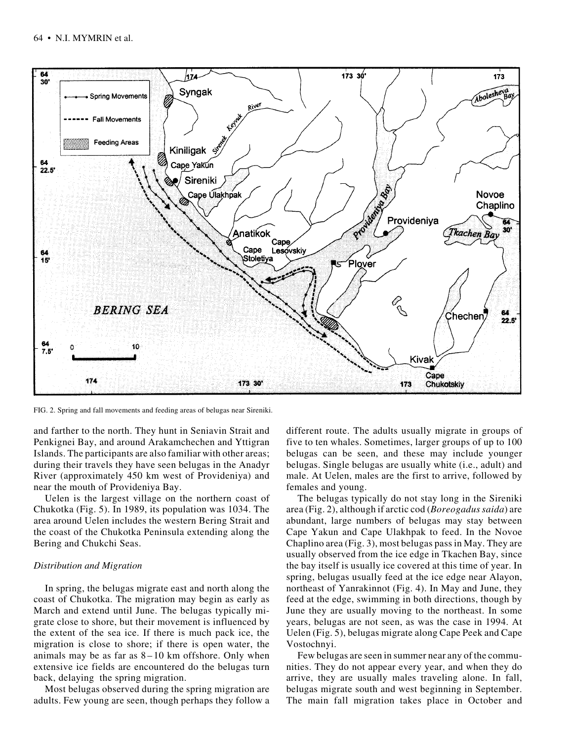

FIG. 2. Spring and fall movements and feeding areas of belugas near Sireniki.

and farther to the north. They hunt in Seniavin Strait and Penkignei Bay, and around Arakamchechen and Yttigran Islands. The participants are also familiar with other areas; during their travels they have seen belugas in the Anadyr River (approximately 450 km west of Provideniya) and near the mouth of Provideniya Bay.

Uelen is the largest village on the northern coast of Chukotka (Fig. 5). In 1989, its population was 1034. The area around Uelen includes the western Bering Strait and the coast of the Chukotka Peninsula extending along the Bering and Chukchi Seas.

## *Distribution and Migration*

In spring, the belugas migrate east and north along the coast of Chukotka. The migration may begin as early as March and extend until June. The belugas typically migrate close to shore, but their movement is influenced by the extent of the sea ice. If there is much pack ice, the migration is close to shore; if there is open water, the animals may be as far as  $8-10$  km offshore. Only when extensive ice fields are encountered do the belugas turn back, delaying the spring migration.

Most belugas observed during the spring migration are adults. Few young are seen, though perhaps they follow a different route. The adults usually migrate in groups of five to ten whales. Sometimes, larger groups of up to 100 belugas can be seen, and these may include younger belugas. Single belugas are usually white (i.e., adult) and male. At Uelen, males are the first to arrive, followed by females and young.

The belugas typically do not stay long in the Sireniki area (Fig. 2), although if arctic cod (*Boreogadus saida*) are abundant, large numbers of belugas may stay between Cape Yakun and Cape Ulakhpak to feed. In the Novoe Chaplino area (Fig. 3), most belugas pass in May. They are usually observed from the ice edge in Tkachen Bay, since the bay itself is usually ice covered at this time of year. In spring, belugas usually feed at the ice edge near Alayon, northeast of Yanrakinnot (Fig. 4). In May and June, they feed at the edge, swimming in both directions, though by June they are usually moving to the northeast. In some years, belugas are not seen, as was the case in 1994. At Uelen (Fig. 5), belugas migrate along Cape Peek and Cape Vostochnyi.

Few belugas are seen in summer near any of the communities. They do not appear every year, and when they do arrive, they are usually males traveling alone. In fall, belugas migrate south and west beginning in September. The main fall migration takes place in October and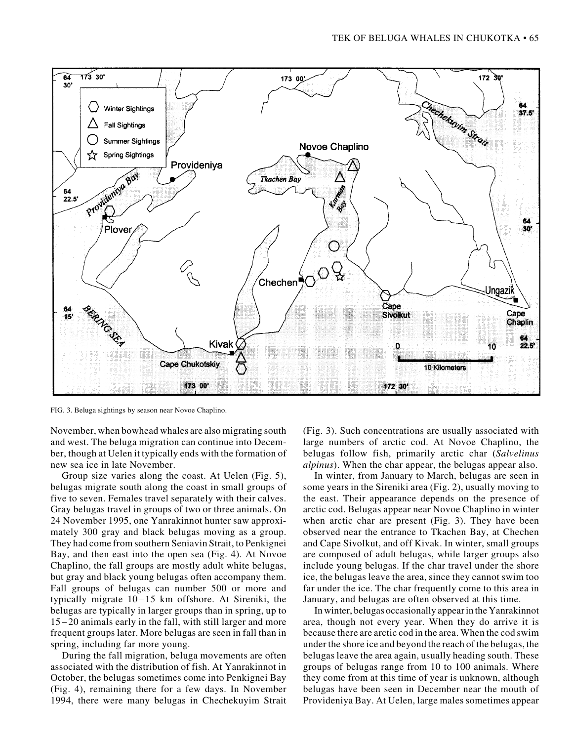

FIG. 3. Beluga sightings by season near Novoe Chaplino.

November, when bowhead whales are also migrating south and west. The beluga migration can continue into December, though at Uelen it typically ends with the formation of new sea ice in late November.

Group size varies along the coast. At Uelen (Fig. 5), belugas migrate south along the coast in small groups of five to seven. Females travel separately with their calves. Gray belugas travel in groups of two or three animals. On 24 November 1995, one Yanrakinnot hunter saw approximately 300 gray and black belugas moving as a group. They had come from southern Seniavin Strait, to Penkignei Bay, and then east into the open sea (Fig. 4). At Novoe Chaplino, the fall groups are mostly adult white belugas, but gray and black young belugas often accompany them. Fall groups of belugas can number 500 or more and typically migrate 10–15 km offshore. At Sireniki, the belugas are typically in larger groups than in spring, up to 15–20 animals early in the fall, with still larger and more frequent groups later. More belugas are seen in fall than in spring, including far more young.

During the fall migration, beluga movements are often associated with the distribution of fish. At Yanrakinnot in October, the belugas sometimes come into Penkignei Bay (Fig. 4), remaining there for a few days. In November 1994, there were many belugas in Chechekuyim Strait

(Fig. 3). Such concentrations are usually associated with large numbers of arctic cod. At Novoe Chaplino, the belugas follow fish, primarily arctic char (*Salvelinus alpinus*). When the char appear, the belugas appear also.

In winter, from January to March, belugas are seen in some years in the Sireniki area (Fig. 2), usually moving to the east. Their appearance depends on the presence of arctic cod. Belugas appear near Novoe Chaplino in winter when arctic char are present (Fig. 3). They have been observed near the entrance to Tkachen Bay, at Chechen and Cape Sivolkut, and off Kivak. In winter, small groups are composed of adult belugas, while larger groups also include young belugas. If the char travel under the shore ice, the belugas leave the area, since they cannot swim too far under the ice. The char frequently come to this area in January, and belugas are often observed at this time.

In winter, belugas occasionally appear in the Yanrakinnot area, though not every year. When they do arrive it is because there are arctic cod in the area. When the cod swim under the shore ice and beyond the reach of the belugas, the belugas leave the area again, usually heading south. These groups of belugas range from 10 to 100 animals. Where they come from at this time of year is unknown, although belugas have been seen in December near the mouth of Provideniya Bay. At Uelen, large males sometimes appear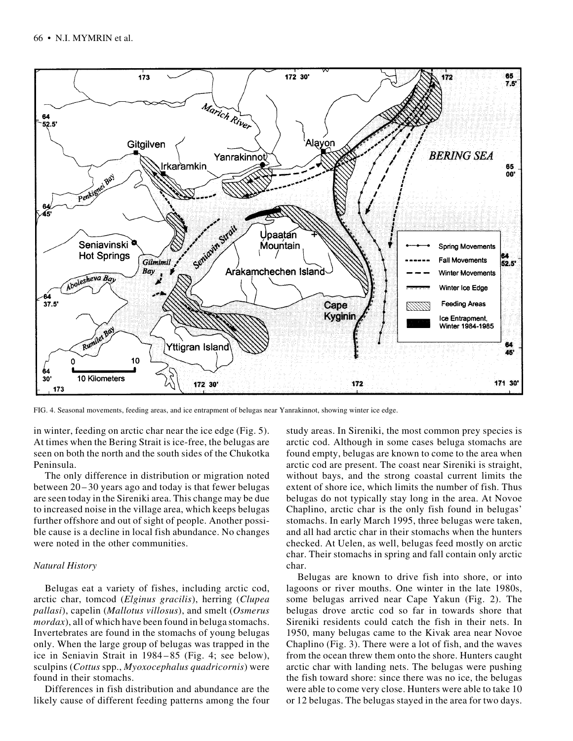

FIG. 4. Seasonal movements, feeding areas, and ice entrapment of belugas near Yanrakinnot, showing winter ice edge.

in winter, feeding on arctic char near the ice edge (Fig. 5). At times when the Bering Strait is ice-free, the belugas are seen on both the north and the south sides of the Chukotka Peninsula.

The only difference in distribution or migration noted between 20–30 years ago and today is that fewer belugas are seen today in the Sireniki area. This change may be due to increased noise in the village area, which keeps belugas further offshore and out of sight of people. Another possible cause is a decline in local fish abundance. No changes were noted in the other communities.

## *Natural History*

Belugas eat a variety of fishes, including arctic cod, arctic char, tomcod (*Elginus gracilis*), herring (*Clupea pallasi*), capelin (*Mallotus villosus*), and smelt (*Osmerus mordax*), all of which have been found in beluga stomachs. Invertebrates are found in the stomachs of young belugas only. When the large group of belugas was trapped in the ice in Seniavin Strait in 1984–85 (Fig. 4; see below), sculpins (*Cottus* spp., *Myoxocephalus quadricornis*) were found in their stomachs.

Differences in fish distribution and abundance are the likely cause of different feeding patterns among the four

study areas. In Sireniki, the most common prey species is arctic cod. Although in some cases beluga stomachs are found empty, belugas are known to come to the area when arctic cod are present. The coast near Sireniki is straight, without bays, and the strong coastal current limits the extent of shore ice, which limits the number of fish. Thus belugas do not typically stay long in the area. At Novoe Chaplino, arctic char is the only fish found in belugas' stomachs. In early March 1995, three belugas were taken, and all had arctic char in their stomachs when the hunters checked. At Uelen, as well, belugas feed mostly on arctic char. Their stomachs in spring and fall contain only arctic char.

Belugas are known to drive fish into shore, or into lagoons or river mouths. One winter in the late 1980s, some belugas arrived near Cape Yakun (Fig. 2). The belugas drove arctic cod so far in towards shore that Sireniki residents could catch the fish in their nets. In 1950, many belugas came to the Kivak area near Novoe Chaplino (Fig. 3). There were a lot of fish, and the waves from the ocean threw them onto the shore. Hunters caught arctic char with landing nets. The belugas were pushing the fish toward shore: since there was no ice, the belugas were able to come very close. Hunters were able to take 10 or 12 belugas. The belugas stayed in the area for two days.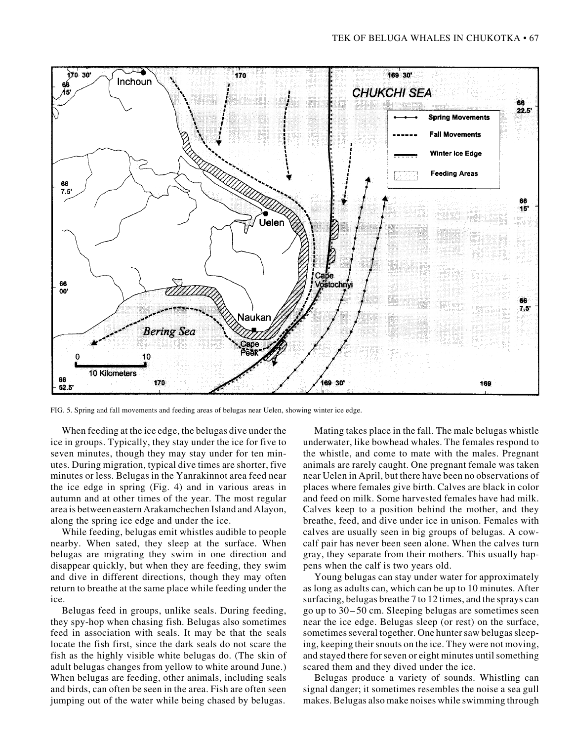

FIG. 5. Spring and fall movements and feeding areas of belugas near Uelen, showing winter ice edge.

When feeding at the ice edge, the belugas dive under the ice in groups. Typically, they stay under the ice for five to seven minutes, though they may stay under for ten minutes. During migration, typical dive times are shorter, five minutes or less. Belugas in the Yanrakinnot area feed near the ice edge in spring (Fig. 4) and in various areas in autumn and at other times of the year. The most regular area is between eastern Arakamchechen Island and Alayon, along the spring ice edge and under the ice.

While feeding, belugas emit whistles audible to people nearby. When sated, they sleep at the surface. When belugas are migrating they swim in one direction and disappear quickly, but when they are feeding, they swim and dive in different directions, though they may often return to breathe at the same place while feeding under the ice.

Belugas feed in groups, unlike seals. During feeding, they spy-hop when chasing fish. Belugas also sometimes feed in association with seals. It may be that the seals locate the fish first, since the dark seals do not scare the fish as the highly visible white belugas do. (The skin of adult belugas changes from yellow to white around June.) When belugas are feeding, other animals, including seals and birds, can often be seen in the area. Fish are often seen jumping out of the water while being chased by belugas.

Mating takes place in the fall. The male belugas whistle underwater, like bowhead whales. The females respond to the whistle, and come to mate with the males. Pregnant animals are rarely caught. One pregnant female was taken near Uelen in April, but there have been no observations of places where females give birth. Calves are black in color and feed on milk. Some harvested females have had milk. Calves keep to a position behind the mother, and they breathe, feed, and dive under ice in unison. Females with calves are usually seen in big groups of belugas. A cowcalf pair has never been seen alone. When the calves turn gray, they separate from their mothers. This usually happens when the calf is two years old.

Young belugas can stay under water for approximately as long as adults can, which can be up to 10 minutes. After surfacing, belugas breathe 7 to 12 times, and the sprays can go up to 30–50 cm. Sleeping belugas are sometimes seen near the ice edge. Belugas sleep (or rest) on the surface, sometimes several together. One hunter saw belugas sleeping, keeping their snouts on the ice. They were not moving, and stayed there for seven or eight minutes until something scared them and they dived under the ice.

Belugas produce a variety of sounds. Whistling can signal danger; it sometimes resembles the noise a sea gull makes. Belugas also make noises while swimming through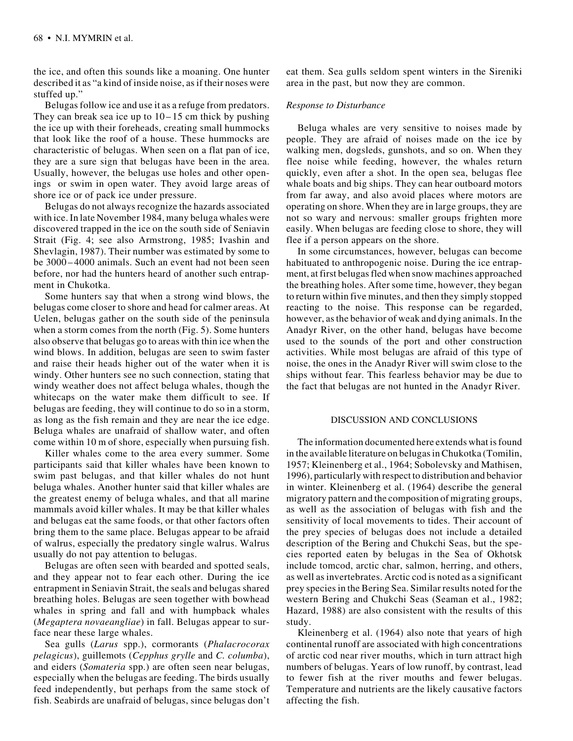the ice, and often this sounds like a moaning. One hunter described it as "a kind of inside noise, as if their noses were stuffed up."

Belugas follow ice and use it as a refuge from predators. They can break sea ice up to  $10-15$  cm thick by pushing the ice up with their foreheads, creating small hummocks that look like the roof of a house. These hummocks are characteristic of belugas. When seen on a flat pan of ice, they are a sure sign that belugas have been in the area. Usually, however, the belugas use holes and other openings or swim in open water. They avoid large areas of shore ice or of pack ice under pressure.

Belugas do not always recognize the hazards associated with ice. In late November 1984, many beluga whales were discovered trapped in the ice on the south side of Seniavin Strait (Fig. 4; see also Armstrong, 1985; Ivashin and Shevlagin, 1987). Their number was estimated by some to be 3000–4000 animals. Such an event had not been seen before, nor had the hunters heard of another such entrapment in Chukotka.

Some hunters say that when a strong wind blows, the belugas come closer to shore and head for calmer areas. At Uelen, belugas gather on the south side of the peninsula when a storm comes from the north (Fig. 5). Some hunters also observe that belugas go to areas with thin ice when the wind blows. In addition, belugas are seen to swim faster and raise their heads higher out of the water when it is windy. Other hunters see no such connection, stating that windy weather does not affect beluga whales, though the whitecaps on the water make them difficult to see. If belugas are feeding, they will continue to do so in a storm, as long as the fish remain and they are near the ice edge. Beluga whales are unafraid of shallow water, and often come within 10 m of shore, especially when pursuing fish.

Killer whales come to the area every summer. Some participants said that killer whales have been known to swim past belugas, and that killer whales do not hunt beluga whales. Another hunter said that killer whales are the greatest enemy of beluga whales, and that all marine mammals avoid killer whales. It may be that killer whales and belugas eat the same foods, or that other factors often bring them to the same place. Belugas appear to be afraid of walrus, especially the predatory single walrus. Walrus usually do not pay attention to belugas.

Belugas are often seen with bearded and spotted seals, and they appear not to fear each other. During the ice entrapment in Seniavin Strait, the seals and belugas shared breathing holes. Belugas are seen together with bowhead whales in spring and fall and with humpback whales (*Megaptera novaeangliae*) in fall. Belugas appear to surface near these large whales.

Sea gulls (*Larus* spp.), cormorants (*Phalacrocorax pelagicus*), guillemots (*Cepphus grylle* and *C. columba*), and eiders (*Somateria* spp.) are often seen near belugas, especially when the belugas are feeding. The birds usually feed independently, but perhaps from the same stock of fish. Seabirds are unafraid of belugas, since belugas don't eat them. Sea gulls seldom spent winters in the Sireniki area in the past, but now they are common.

# *Response to Disturbance*

Beluga whales are very sensitive to noises made by people. They are afraid of noises made on the ice by walking men, dogsleds, gunshots, and so on. When they flee noise while feeding, however, the whales return quickly, even after a shot. In the open sea, belugas flee whale boats and big ships. They can hear outboard motors from far away, and also avoid places where motors are operating on shore. When they are in large groups, they are not so wary and nervous: smaller groups frighten more easily. When belugas are feeding close to shore, they will flee if a person appears on the shore.

In some circumstances, however, belugas can become habituated to anthropogenic noise. During the ice entrapment, at first belugas fled when snow machines approached the breathing holes. After some time, however, they began to return within five minutes, and then they simply stopped reacting to the noise. This response can be regarded, however, as the behavior of weak and dying animals. In the Anadyr River, on the other hand, belugas have become used to the sounds of the port and other construction activities. While most belugas are afraid of this type of noise, the ones in the Anadyr River will swim close to the ships without fear. This fearless behavior may be due to the fact that belugas are not hunted in the Anadyr River.

#### DISCUSSION AND CONCLUSIONS

The information documented here extends what is found in the available literature on belugas in Chukotka (Tomilin, 1957; Kleinenberg et al., 1964; Sobolevsky and Mathisen, 1996), particularly with respect to distribution and behavior in winter. Kleinenberg et al. (1964) describe the general migratory pattern and the composition of migrating groups, as well as the association of belugas with fish and the sensitivity of local movements to tides. Their account of the prey species of belugas does not include a detailed description of the Bering and Chukchi Seas, but the species reported eaten by belugas in the Sea of Okhotsk include tomcod, arctic char, salmon, herring, and others, as well as invertebrates. Arctic cod is noted as a significant prey species in the Bering Sea. Similar results noted for the western Bering and Chukchi Seas (Seaman et al., 1982; Hazard, 1988) are also consistent with the results of this study.

Kleinenberg et al. (1964) also note that years of high continental runoff are associated with high concentrations of arctic cod near river mouths, which in turn attract high numbers of belugas. Years of low runoff, by contrast, lead to fewer fish at the river mouths and fewer belugas. Temperature and nutrients are the likely causative factors affecting the fish.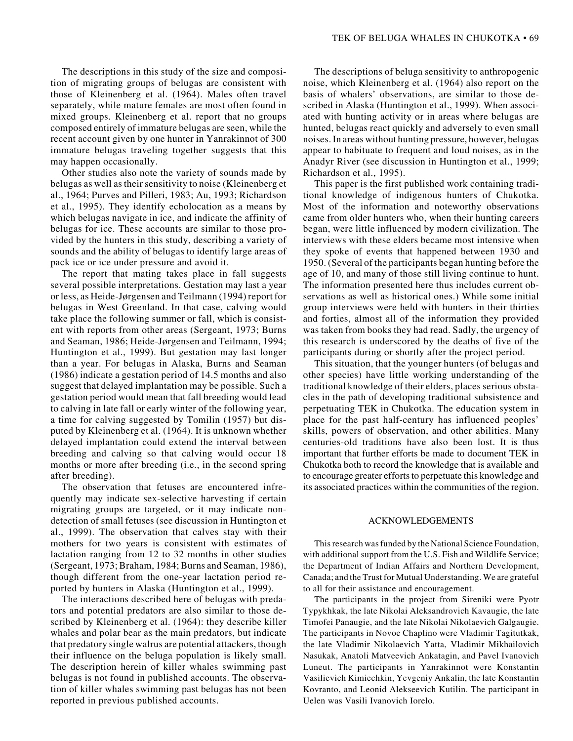The descriptions in this study of the size and composition of migrating groups of belugas are consistent with those of Kleinenberg et al. (1964). Males often travel separately, while mature females are most often found in mixed groups. Kleinenberg et al. report that no groups composed entirely of immature belugas are seen, while the recent account given by one hunter in Yanrakinnot of 300 immature belugas traveling together suggests that this may happen occasionally.

Other studies also note the variety of sounds made by belugas as well as their sensitivity to noise (Kleinenberg et al., 1964; Purves and Pilleri, 1983; Au, 1993; Richardson et al., 1995). They identify echolocation as a means by which belugas navigate in ice, and indicate the affinity of belugas for ice. These accounts are similar to those provided by the hunters in this study, describing a variety of sounds and the ability of belugas to identify large areas of pack ice or ice under pressure and avoid it.

The report that mating takes place in fall suggests several possible interpretations. Gestation may last a year or less, as Heide-Jørgensen and Teilmann (1994) report for belugas in West Greenland. In that case, calving would take place the following summer or fall, which is consistent with reports from other areas (Sergeant, 1973; Burns and Seaman, 1986; Heide-Jørgensen and Teilmann, 1994; Huntington et al., 1999). But gestation may last longer than a year. For belugas in Alaska, Burns and Seaman (1986) indicate a gestation period of 14.5 months and also suggest that delayed implantation may be possible. Such a gestation period would mean that fall breeding would lead to calving in late fall or early winter of the following year, a time for calving suggested by Tomilin (1957) but disputed by Kleinenberg et al. (1964). It is unknown whether delayed implantation could extend the interval between breeding and calving so that calving would occur 18 months or more after breeding (i.e., in the second spring after breeding).

The observation that fetuses are encountered infrequently may indicate sex-selective harvesting if certain migrating groups are targeted, or it may indicate nondetection of small fetuses (see discussion in Huntington et al., 1999). The observation that calves stay with their mothers for two years is consistent with estimates of lactation ranging from 12 to 32 months in other studies (Sergeant, 1973; Braham, 1984; Burns and Seaman, 1986), though different from the one-year lactation period reported by hunters in Alaska (Huntington et al., 1999).

The interactions described here of belugas with predators and potential predators are also similar to those described by Kleinenberg et al. (1964): they describe killer whales and polar bear as the main predators, but indicate that predatory single walrus are potential attackers, though their influence on the beluga population is likely small. The description herein of killer whales swimming past belugas is not found in published accounts. The observation of killer whales swimming past belugas has not been reported in previous published accounts.

The descriptions of beluga sensitivity to anthropogenic noise, which Kleinenberg et al. (1964) also report on the basis of whalers' observations, are similar to those described in Alaska (Huntington et al., 1999). When associated with hunting activity or in areas where belugas are hunted, belugas react quickly and adversely to even small noises. In areas without hunting pressure, however, belugas appear to habituate to frequent and loud noises, as in the Anadyr River (see discussion in Huntington et al., 1999; Richardson et al., 1995).

This paper is the first published work containing traditional knowledge of indigenous hunters of Chukotka. Most of the information and noteworthy observations came from older hunters who, when their hunting careers began, were little influenced by modern civilization. The interviews with these elders became most intensive when they spoke of events that happened between 1930 and 1950. (Several of the participants began hunting before the age of 10, and many of those still living continue to hunt. The information presented here thus includes current observations as well as historical ones.) While some initial group interviews were held with hunters in their thirties and forties, almost all of the information they provided was taken from books they had read. Sadly, the urgency of this research is underscored by the deaths of five of the participants during or shortly after the project period.

This situation, that the younger hunters (of belugas and other species) have little working understanding of the traditional knowledge of their elders, places serious obstacles in the path of developing traditional subsistence and perpetuating TEK in Chukotka. The education system in place for the past half-century has influenced peoples' skills, powers of observation, and other abilities. Many centuries-old traditions have also been lost. It is thus important that further efforts be made to document TEK in Chukotka both to record the knowledge that is available and to encourage greater efforts to perpetuate this knowledge and its associated practices within the communities of the region.

#### ACKNOWLEDGEMENTS

This research was funded by the National Science Foundation, with additional support from the U.S. Fish and Wildlife Service; the Department of Indian Affairs and Northern Development, Canada; and the Trust for Mutual Understanding. We are grateful to all for their assistance and encouragement.

The participants in the project from Sireniki were Pyotr Typykhkak, the late Nikolai Aleksandrovich Kavaugie, the late Timofei Panaugie, and the late Nikolai Nikolaevich Galgaugie. The participants in Novoe Chaplino were Vladimir Tagitutkak, the late Vladimir Nikolaevich Yatta, Vladimir Mikhailovich Nasukak, Anatoli Matveevich Ankatagin, and Pavel Ivanovich Luneut. The participants in Yanrakinnot were Konstantin Vasilievich Kimiechkin, Yevgeniy Ankalin, the late Konstantin Kovranto, and Leonid Alekseevich Kutilin. The participant in Uelen was Vasili Ivanovich Iorelo.